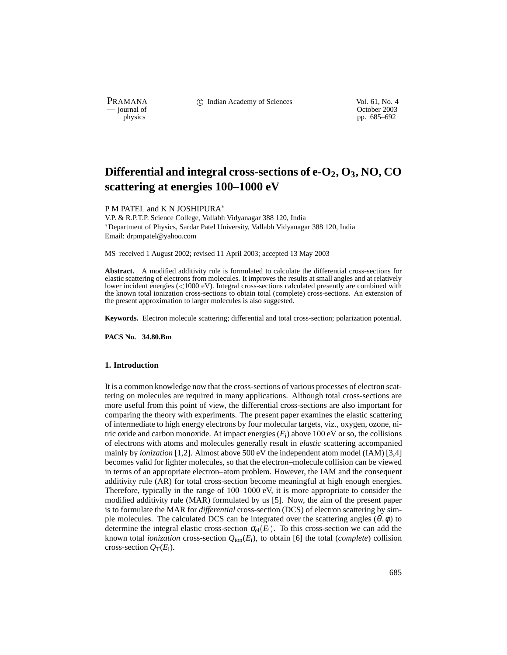PRAMANA <sup>comp</sup> computed contained in the Indian Academy of Sciences Vol. 61, No. 4<br>
computed vol. 61, No. 4<br>
computed vol. 61, No. 4

physics<br>
a physics<br>
pp. 685–692 pp. 685–692

# Differential and integral cross-sections of e-O<sub>2</sub>, O<sub>3</sub>, NO, CO **scattering at energies 100–1000 eV**

P M PATEL and K N JOSHIPURA

V.P. & R.P.T.P. Science College, Vallabh Vidyanagar 388 120, India Department of Physics, Sardar Patel University, Vallabh Vidyanagar 388 120, India Email: drpmpatel@yahoo.com

MS received 1 August 2002; revised 11 April 2003; accepted 13 May 2003

**Abstract.** A modified additivity rule is formulated to calculate the differential cross-sections for elastic scattering of electrons from molecules. It improves the results at small angles and at relatively lower incident energies  $\left($ <1000 eV). Integral cross-sections calculated presently are combined with the known total ionization cross-sections to obtain total (complete) cross-sections. An extension of the present approximation to larger molecules is also suggested.

**Keywords.** Electron molecule scattering; differential and total cross-section; polarization potential.

**PACS No. 34.80.Bm**

# **1. Introduction**

It is a common knowledge now that the cross-sections of various processes of electron scattering on molecules are required in many applications. Although total cross-sections are more useful from this point of view, the differential cross-sections are also important for comparing the theory with experiments. The present paper examines the elastic scattering of intermediate to high energy electrons by four molecular targets, viz., oxygen, ozone, nitric oxide and carbon monoxide. At impact energies  $(E_i)$  above 100 eV or so, the collisions of electrons with atoms and molecules generally result in *elastic* scattering accompanied mainly by *ionization* [1,2]. Almost above 500 eV the independent atom model (IAM) [3,4] becomes valid for lighter molecules, so that the electron–molecule collision can be viewed in terms of an appropriate electron–atom problem. However, the IAM and the consequent additivity rule (AR) for total cross-section become meaningful at high enough energies. Therefore, typically in the range of 100–1000 eV, it is more appropriate to consider the modified additivity rule (MAR) formulated by us [5]. Now, the aim of the present paper is to formulate the MAR for *differential* cross-section (DCS) of electron scattering by simple molecules. The calculated DCS can be integrated over the scattering angles  $(\theta, \phi)$  to determine the integral elastic cross-section  $\sigma_{el}(E_i)$ . To this cross-section we can add the known total *ionization* cross-section  $Q_{\text{ion}}(E_i)$ , to obtain [6] the total (*complete*) collision cross-section  $Q_T(E_i)$ .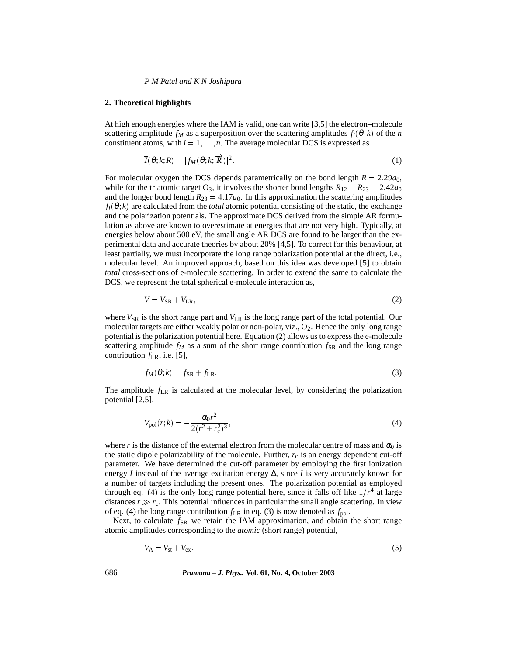## *P M Patel and K N Joshipura*

#### **2. Theoretical highlights**

At high enough energies where the IAM is valid, one can write [3,5] the electron–molecule scattering amplitude  $f_M$  as a superposition over the scattering amplitudes  $f_i(\theta, k)$  of the *n* constituent atoms, with  $i = 1, \ldots, n$ . The average molecular DCS is expressed as

$$
\overline{I}(\theta;k;R) = |f_M(\theta;k;\overrightarrow{R})|^2. \tag{1}
$$

For molecular oxygen the DCS depends parametrically on the bond length  $R = 2.29a_0$ , while for the triatomic target  $O_3$ , it involves the shorter bond lengths  $R_{12} = R_{23} = 2.42a_0$ and the longer bond length  $R_{23} = 4.17a_0$ . In this approximation the scattering amplitudes  $f_i(\theta; k)$  are calculated from the *total* atomic potential consisting of the static, the exchange and the polarization potentials. The approximate DCS derived from the simple AR formulation as above are known to overestimate at energies that are not very high. Typically, at energies below about 500 eV, the small angle AR DCS are found to be larger than the experimental data and accurate theories by about 20% [4,5]. To correct for this behaviour, at least partially, we must incorporate the long range polarization potential at the direct, i.e., molecular level. An improved approach, based on this idea was developed [5] to obtain *total* cross-sections of e-molecule scattering. In order to extend the same to calculate the DCS, we represent the total spherical e-molecule interaction as,

$$
V = V_{\rm SR} + V_{\rm LR},\tag{2}
$$

where  $V_{\rm SR}$  is the short range part and  $V_{\rm LR}$  is the long range part of the total potential. Our molecular targets are either weakly polar or non-polar, viz.,  $O_2$ . Hence the only long range potential is the polarization potential here. Equation (2) allows us to express the e-molecule scattering amplitude  $f_M$  as a sum of the short range contribution  $f_{SR}$  and the long range contribution  $f_{LR}$ , i.e. [5],

$$
f_M(\theta; k) = f_{\rm SR} + f_{\rm LR} \tag{3}
$$

The amplitude  $f_{LR}$  is calculated at the molecular level, by considering the polarization potential [2,5],

$$
V_{\text{pol}}(r;k) = -\frac{\alpha_0 r^2}{2(r^2 + r_c^2)^3},\tag{4}
$$

where *r* is the distance of the external electron from the molecular centre of mass and  $\alpha_0$  is the static dipole polarizability of the molecule. Further,  $r_c$  is an energy dependent cut-off parameter. We have determined the cut-off parameter by employing the first ionization energy *I* instead of the average excitation energy  $\Delta$ , since *I* is very accurately known for a number of targets including the present ones. The polarization potential as employed through eq. (4) is the only long range potential here, since it falls off like  $1/r<sup>4</sup>$  at large distances  $r \gg r_c$ . This potential influences in particular the small angle scattering. In view of eq. (4) the long range contribution  $f_{LR}$  in eq. (3) is now denoted as  $f_{pol}$ .

Next, to calculate  $f_{\text{SR}}$  we retain the IAM approximation, and obtain the short range atomic amplitudes corresponding to the *atomic* (short range) potential,

$$
V_{\rm A} = V_{\rm st} + V_{\rm ex}.\tag{5}
$$

686 *Pramana – J. Phys.,* **Vol. 61, No. 4, October 2003**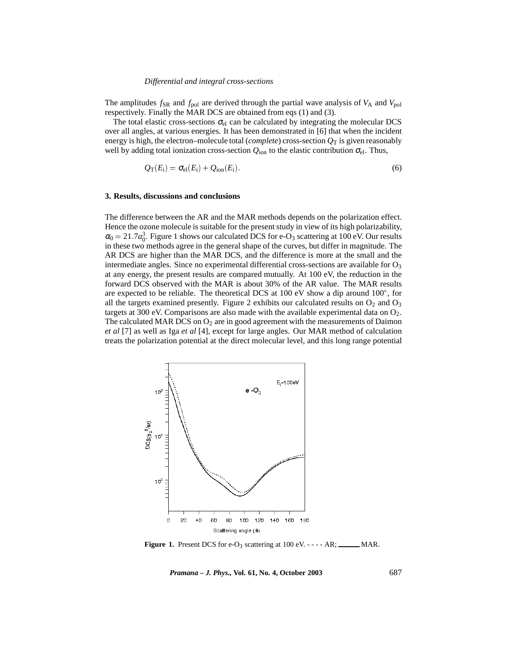#### *Differential and integral cross-sections*

The amplitudes  $f_{SR}$  and  $f_{pol}$  are derived through the partial wave analysis of  $V_A$  and  $V_{pol}$ respectively. Finally the MAR DCS are obtained from eqs (1) and (3).

The total elastic cross-sections  $\sigma_{el}$  can be calculated by integrating the molecular DCS over all angles, at various energies. It has been demonstrated in [6] that when the incident energy is high, the electron–molecule total (*complete*) cross-section  $Q_T$  is given reasonably well by adding total ionization cross-section  $Q_{\text{ion}}$  to the elastic contribution  $\sigma_{el}$ . Thus,

$$
Q_{\rm T}(E_{\rm i}) = \sigma_{\rm el}(E_{\rm i}) + Q_{\rm ion}(E_{\rm i}). \tag{6}
$$

# **3. Results, discussions and conclusions**

The difference between the AR and the MAR methods depends on the polarization effect. Hence the ozone molecule is suitable for the present study in view of its high polarizability,  $\alpha_0 = 21.7a_0^3$ . Figure 1 shows our calculated DCS for e-O<sub>3</sub> scattering at 100 eV. Our results in these two methods agree in the general shape of the curves, but differ in magnitude. The AR DCS are higher than the MAR DCS, and the difference is more at the small and the intermediate angles. Since no experimental differential cross-sections are available for  $O<sub>3</sub>$ at any energy, the present results are compared mutually. At 100 eV, the reduction in the forward DCS observed with the MAR is about 30% of the AR value. The MAR results are expected to be reliable. The theoretical DCS at  $100 \text{ eV}$  show a dip around  $100^{\circ}$ , for all the targets examined presently. Figure 2 exhibits our calculated results on  $O_2$  and  $O_3$ targets at 300 eV. Comparisons are also made with the available experimental data on  $O_2$ . The calculated MAR DCS on  $O_2$  are in good agreement with the measurements of Daimon *et al* [7] as well as Iga *et al* [4], except for large angles. Our MAR method of calculation treats the polarization potential at the direct molecular level, and this long range potential



**Figure 1.** Present DCS for e-O<sub>3</sub> scattering at  $100 \text{ eV}$ . - - - - AR; \_\_\_\_\_\_ MAR.

*Pramana – J. Phys.,* **Vol. 61, No. 4, October 2003** 687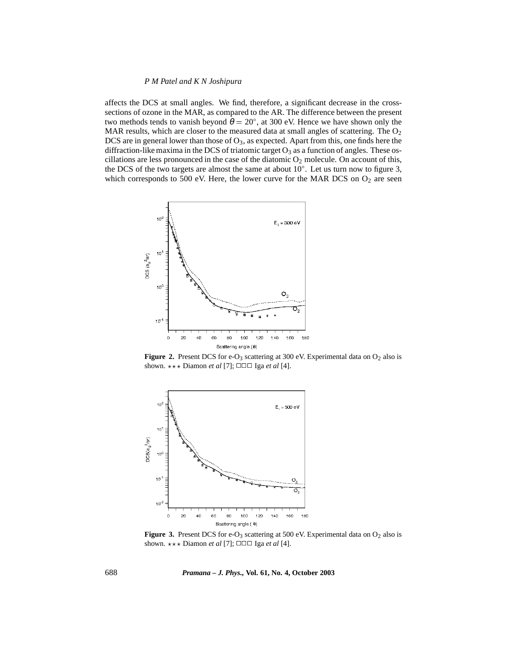# *P M Patel and K N Joshipura*

affects the DCS at small angles. We find, therefore, a significant decrease in the crosssections of ozone in the MAR, as compared to the AR. The difference between the present two methods tends to vanish beyond  $\theta = 20^{\circ}$ , at 300 eV. Hence we have shown only the MAR results, which are closer to the measured data at small angles of scattering. The  $O<sub>2</sub>$ DCS are in general lower than those of  $O_3$ , as expected. Apart from this, one finds here the diffraction-like maxima in the DCS of triatomic target  $O_3$  as a function of angles. These oscillations are less pronounced in the case of the diatomic  $O_2$  molecule. On account of this, the DCS of the two targets are almost the same at about  $10^{\circ}$ . Let us turn now to figure 3, which corresponds to 500 eV. Here, the lower curve for the MAR DCS on  $O_2$  are seen



**Figure 2.** Present DCS for e-O<sub>3</sub> scattering at 300 eV. Experimental data on  $O_2$  also is shown.  $\star \star \star$  Diamon *et al* [7];  $\square \square \square$  Iga *et al* [4].



**Figure 3.** Present DCS for e-O<sub>3</sub> scattering at 500 eV. Experimental data on  $O_2$  also is shown.  $\star \star \star$  Diamon *et al* [7];  $\square \square \square$  Iga *et al* [4].

688 *Pramana – J. Phys.,* **Vol. 61, No. 4, October 2003**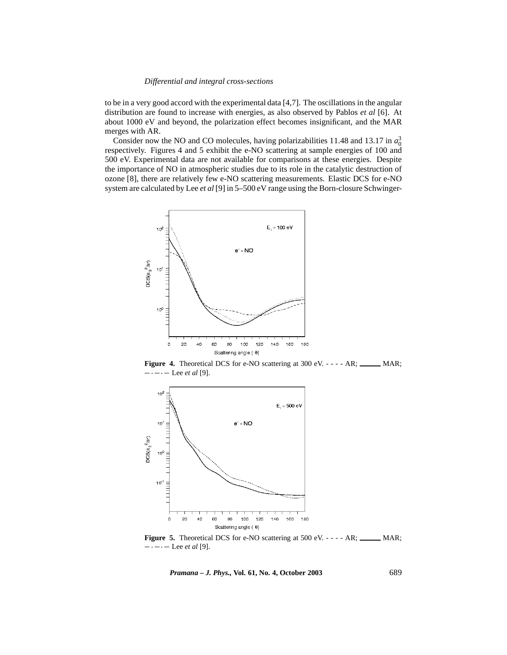# *Differential and integral cross-sections*

to be in a very good accord with the experimental data [4,7]. The oscillations in the angular distribution are found to increase with energies, as also observed by Pablos *et al* [6]. At about 1000 eV and beyond, the polarization effect becomes insignificant, and the MAR merges with AR.

Consider now the NO and CO molecules, having polarizabilities 11.48 and 13.17 in  $a_0^3$ respectively. Figures 4 and 5 exhibit the e-NO scattering at sample energies of 100 and 500 eV. Experimental data are not available for comparisons at these energies. Despite the importance of NO in atmospheric studies due to its role in the catalytic destruction of ozone [8], there are relatively few e-NO scattering measurements. Elastic DCS for e-NO system are calculated by Lee *et al* [9] in 5–500 eV range using the Born-closure Schwinger-



Figure 4. Theoretical DCS for e-NO scattering at 300 eV. - - - - AR; \_\_\_\_\_ MAR;  $-\cdot - \cdot -$  Lee *et al* [9].



**Figure 5.** Theoretical DCS for e-NO scattering at 500 eV. - - - - AR; \_\_\_\_\_\_ MAR;  $-\cdot - \cdot -$  Lee *et al* [9].

*Pramana – J. Phys.,* **Vol. 61, No. 4, October 2003** 689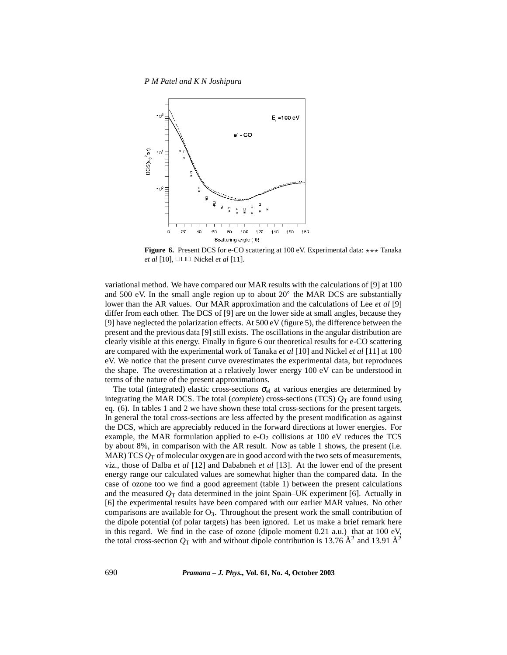*P M Patel and K N Joshipura*



**Figure 6.** Present DCS for e-CO scattering at  $100 \text{ eV}$ . Experimental data:  $\star \star \star$  Tanaka *et al* [10], □□□ Nickel *et al* [11].

variational method. We have compared our MAR results with the calculations of [9] at 100 and 500 eV. In the small angle region up to about  $20^{\circ}$  the MAR DCS are substantially lower than the AR values. Our MAR approximation and the calculations of Lee *et al* [9] differ from each other. The DCS of [9] are on the lower side at small angles, because they [9] have neglected the polarization effects. At 500 eV (figure 5), the difference between the present and the previous data [9] still exists. The oscillations in the angular distribution are clearly visible at this energy. Finally in figure 6 our theoretical results for e-CO scattering are compared with the experimental work of Tanaka *et al* [10] and Nickel *et al* [11] at 100 eV. We notice that the present curve overestimates the experimental data, but reproduces the shape. The overestimation at a relatively lower energy 100 eV can be understood in terms of the nature of the present approximations.

The total (integrated) elastic cross-sections  $\sigma_{el}$  at various energies are determined by integrating the MAR DCS. The total (*complete*) cross-sections (TCS)  $Q_T$  are found using eq. (6). In tables 1 and 2 we have shown these total cross-sections for the present targets. In general the total cross-sections are less affected by the present modification as against the DCS, which are appreciably reduced in the forward directions at lower energies. For example, the MAR formulation applied to  $e-O_2$  collisions at 100 eV reduces the TCS by about 8%, in comparison with the AR result. Now as table 1 shows, the present (i.e. MAR) TCS  $Q_T$  of molecular oxygen are in good accord with the two sets of measurements, viz., those of Dalba *et al* [12] and Dababneh *et al* [13]. At the lower end of the present energy range our calculated values are somewhat higher than the compared data. In the case of ozone too we find a good agreement (table 1) between the present calculations and the measured  $Q_T$  data determined in the joint Spain–UK experiment [6]. Actually in [6] the experimental results have been compared with our earlier MAR values. No other comparisons are available for  $O_3$ . Throughout the present work the small contribution of the dipole potential (of polar targets) has been ignored. Let us make a brief remark here in this regard. We find in the case of ozone (dipole moment  $0.21$  a.u.) that at  $100$  eV, the total cross-section  $Q_T$  with and without dipole contribution is 13.76  $\AA^2$  and 13.91  $\AA^2$ 

690 *Pramana – J. Phys.,* **Vol. 61, No. 4, October 2003**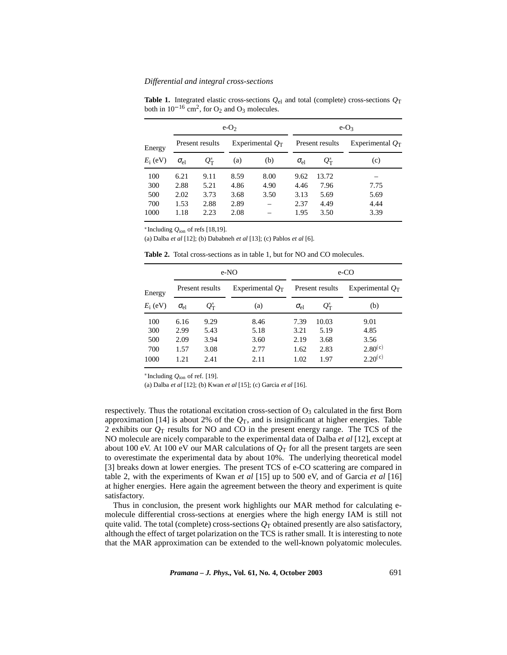### *Differential and integral cross-sections*

**Table 1.** Integrated elastic cross-sections  $Q_{el}$  and total (complete) cross-sections  $Q_T$ both in  $10^{-16}$  cm<sup>2</sup>, for  $O_2$  and  $O_3$  molecules.

|                      | $e-O2$          |                                       |                    |      | $e-O_3$         |                                        |                    |
|----------------------|-----------------|---------------------------------------|--------------------|------|-----------------|----------------------------------------|--------------------|
| Energy<br>$E_i$ (eV) | Present results |                                       | Experimental $Q_T$ |      | Present results |                                        | Experimental $O_T$ |
|                      | $\sigma_{el}$   | $\varrho_{\scriptscriptstyle\rm T}^*$ | (a)                | (b)  | $\sigma_{el}$   | $\varrho_{\scriptscriptstyle \rm T}^*$ | (c)                |
| 100                  | 6.21            | 9.11                                  | 8.59               | 8.00 | 9.62            | 13.72                                  |                    |
| 300                  | 2.88            | 5.21                                  | 4.86               | 4.90 | 4.46            | 7.96                                   | 7.75               |
| 500                  | 2.02            | 3.73                                  | 3.68               | 3.50 | 3.13            | 5.69                                   | 5.69               |
| 700                  | 1.53            | 2.88                                  | 2.89               |      | 2.37            | 4.49                                   | 4.44               |
| 1000                 | 1.18            | 2.23                                  | 2.08               |      | 1.95            | 3.50                                   | 3.39               |

\*Including  $Q_{\text{ion}}$  of refs [18,19].

(a) Dalba *et al* [12]; (b) Dababneh *et al* [13]; (c) Pablos *et al* [6].

|            |                 |                              | e-NO               | e-CO            |                            |                    |  |
|------------|-----------------|------------------------------|--------------------|-----------------|----------------------------|--------------------|--|
| Energy     | Present results |                              | Experimental $Q_T$ | Present results |                            | Experimental $O_T$ |  |
| $E_i$ (eV) | $\sigma_{el}$   | $\varrho_{\text{\tiny T}}^*$ | (a)                | $\sigma_{el}$   | $\mathcal{Q}^*_\mathrm{T}$ | (b)                |  |
| 100        | 6.16            | 9.29                         | 8.46               | 7.39            | 10.03                      | 9.01               |  |
| 300        | 2.99            | 5.43                         | 5.18               | 3.21            | 5.19                       | 4.85               |  |
| 500        | 2.09            | 3.94                         | 3.60               | 2.19            | 3.68                       | 3.56               |  |
| 700        | 1.57            | 3.08                         | 2.77               | 1.62            | 2.83                       | $2.80^{(c)}$       |  |
| 1000       | 1.21            | 2.41                         | 2.11               | 1.02            | 1.97                       | $2.20^{(c)}$       |  |

**Table 2.** Total cross-sections as in table 1, but for NO and CO molecules.

 $*$ Including  $Q_{\text{ion}}$  of ref. [19].

(a) Dalba *et al* [12]; (b) Kwan *et al* [15]; (c) Garcia *et al* [16].

respectively. Thus the rotational excitation cross-section of  $O_3$  calculated in the first Born approximation [14] is about 2% of the  $Q_T$ , and is insignificant at higher energies. Table 2 exhibits our  $Q_T$  results for NO and CO in the present energy range. The TCS of the NO molecule are nicely comparable to the experimental data of Dalba *et al* [12], except at about 100 eV. At 100 eV our MAR calculations of  $Q_T$  for all the present targets are seen to overestimate the experimental data by about 10%. The underlying theoretical model [3] breaks down at lower energies. The present TCS of e-CO scattering are compared in table 2, with the experiments of Kwan *et al* [15] up to 500 eV, and of Garcia *et al* [16] at higher energies. Here again the agreement between the theory and experiment is quite satisfactory.

Thus in conclusion, the present work highlights our MAR method for calculating emolecule differential cross-sections at energies where the high energy IAM is still not quite valid. The total (complete) cross-sections  $Q_T$  obtained presently are also satisfactory, although the effect of target polarization on the TCS is rather small. It is interesting to note that the MAR approximation can be extended to the well-known polyatomic molecules.